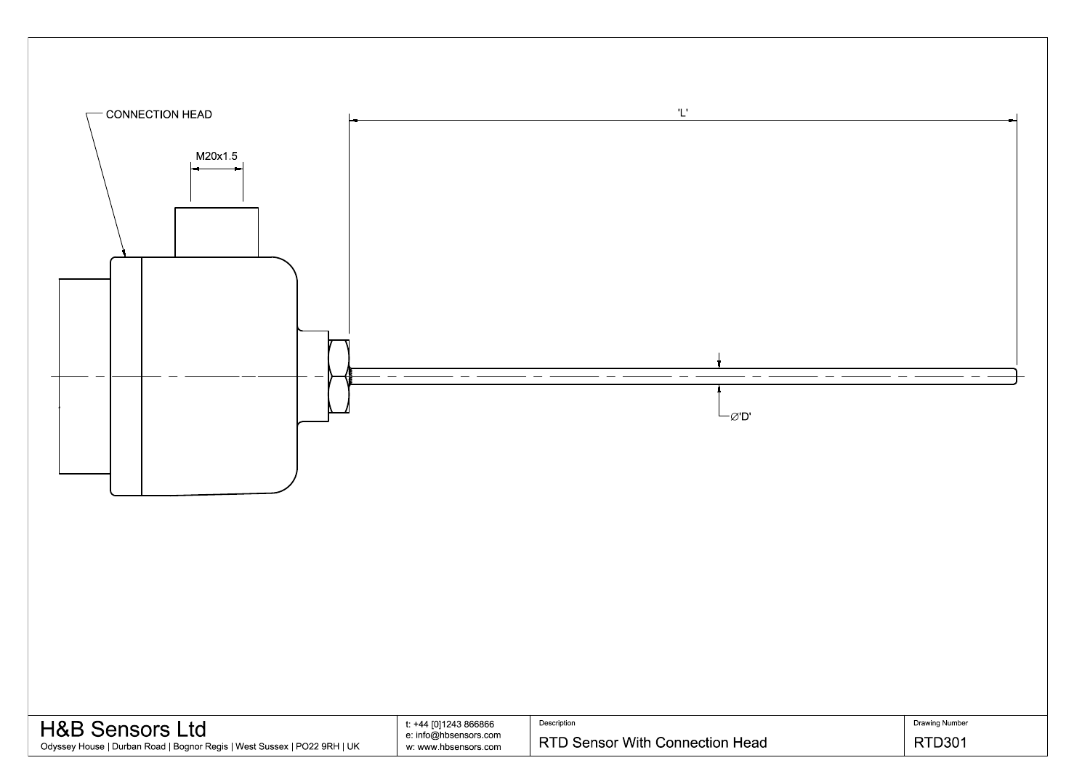

| <b>H&amp;B Sensors Ltd</b>                                               | t: +44 [0]1243 866866 | Description                     |
|--------------------------------------------------------------------------|-----------------------|---------------------------------|
|                                                                          | e: info@hbsensors.com |                                 |
| Odyssey House   Durban Road   Bognor Regis   West Sussex   PO22 9RH   UK | w: www.hbsensors.com  | RTD Sensor With Connection Head |